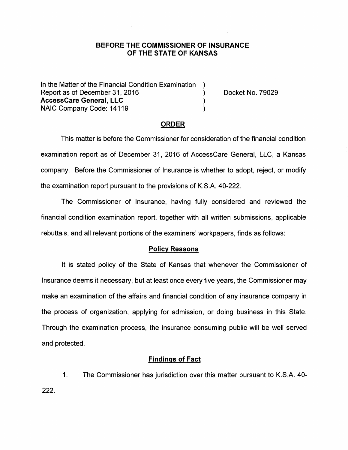### **BEFORE THE COMMISSIONER OF INSURANCE OF THE STATE OF KANSAS**

In the Matter of the Financial Condition Examination Report as of December 31, 2016 (and the control of Docket No. 79029) **AccessCare General, LLC** ) NAIC Company Code: 14119 )

### **ORDER**

This matter is before the Commissioner for consideration of the financial condition examination report as of December 31, 2016 of AccessCare General, LLC, a Kansas company. Before the Commissioner of Insurance is whether to adopt, reject, or modify the examination report pursuant to the provisions of K.S.A. 40-222.

The Commissioner of Insurance, having fully considered and reviewed the financial condition examination report, together with all written submissions, applicable rebuttals, and all relevant portions of the examiners' workpapers, finds as follows:

#### **Policy Reasons**

It is stated policy of the State of Kansas that whenever the Commissioner of Insurance deems it necessary, but at least once every five years, the Commissioner may make an examination of the affairs and financial condition of any insurance company in the process of organization, applying for admission, or doing business in this State. Through the examination process, the insurance consuming public will be well served and protected.

### **Findings of Fact**

1. The Commissioner has jurisdiction over this matter pursuant to K.S.A. 40- 222.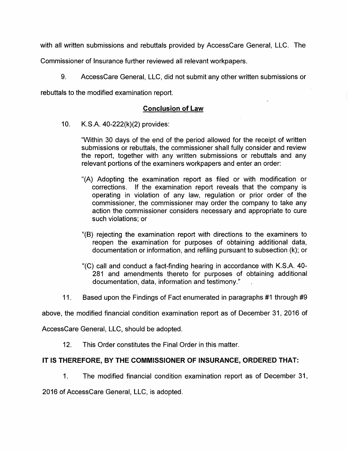with all written submissions and rebuttals provided by AccessCare General, LLC. The

Commissioner of Insurance further reviewed all relevant workpapers.

9. AccessCare General, LLC, did not submit any other written submissions or

rebuttals to the modified examination report.

# **Conclusion of Law**

10. K.S.A. 40-222(k)(2) provides:

"Within 30 days of the end of the period allowed for the receipt of written submissions or rebuttals, the commissioner shall fully consider and review the report, together with any written submissions or rebuttals and any relevant portions of the examiners workpapers and enter an order:

- "(A) Adopting the examination report as filed or with modification or corrections. If the examination report reveals that the company is operating in violation of any law, regulation or prior order of the commissioner, the commissioner may order the company to take any action the commissioner considers necessary and appropriate to cure such violations; or
- "(B) rejecting the examination report with directions to the examiners to reopen the examination for purposes of obtaining additional data, documentation or information, and refiling pursuant to subsection (k); or
- "(C) call and conduct a fact-finding hearing in accordance with K.S.A. 40- 281 and amendments thereto for purposes of obtaining additional documentation, data, information and testimony."
- 11. Based upon the Findings of Fact enumerated in paragraphs #1 through #9

above, the modified financial condition examination report as of December 31, 2016 of

AccessCare General, LLC, should be adopted.

12. This Order constitutes the Final Order in this matter.

# **IT IS THEREFORE, BY THE COMMISSIONER OF INSURANCE, ORDERED THAT:**

1. The modified financial condition examination report as of December 31,

2016 of AccessCare General, LLC, is adopted.